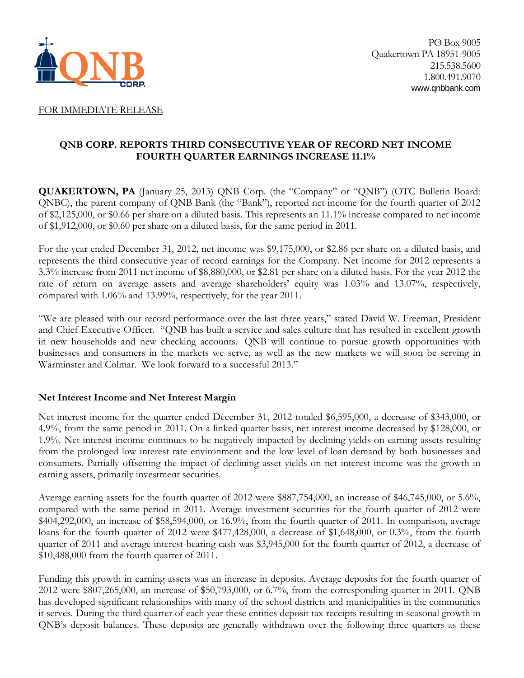

#### FOR IMMEDIATE RELEASE

## **QNB CORP. REPORTS THIRD CONSECUTIVE YEAR OF RECORD NET INCOME FOURTH QUARTER EARNINGS INCREASE 11.1%**

**QUAKERTOWN, PA** (January 25, 2013) QNB Corp. (the "Company" or "QNB") (OTC Bulletin Board: QNBC), the parent company of QNB Bank (the "Bank"), reported net income for the fourth quarter of 2012 of \$2,125,000, or \$0.66 per share on a diluted basis. This represents an 11.1% increase compared to net income of \$1,912,000, or \$0.60 per share on a diluted basis, for the same period in 2011.

For the year ended December 31, 2012, net income was \$9,175,000, or \$2.86 per share on a diluted basis, and represents the third consecutive year of record earnings for the Company. Net income for 2012 represents a 3.3% increase from 2011 net income of \$8,880,000, or \$2.81 per share on a diluted basis. For the year 2012 the rate of return on average assets and average shareholders' equity was 1.03% and 13.07%, respectively, compared with 1.06% and 13.99%, respectively, for the year 2011.

"We are pleased with our record performance over the last three years," stated David W. Freeman, President and Chief Executive Officer. "QNB has built a service and sales culture that has resulted in excellent growth in new households and new checking accounts. QNB will continue to pursue growth opportunities with businesses and consumers in the markets we serve, as well as the new markets we will soon be serving in Warminster and Colmar. We look forward to a successful 2013."

#### **Net Interest Income and Net Interest Margin**

Net interest income for the quarter ended December 31, 2012 totaled \$6,595,000, a decrease of \$343,000, or 4.9%, from the same period in 2011. On a linked quarter basis, net interest income decreased by \$128,000, or 1.9%. Net interest income continues to be negatively impacted by declining yields on earning assets resulting from the prolonged low interest rate environment and the low level of loan demand by both businesses and consumers. Partially offsetting the impact of declining asset yields on net interest income was the growth in earning assets, primarily investment securities.

Average earning assets for the fourth quarter of 2012 were \$887,754,000, an increase of \$46,745,000, or 5.6%, compared with the same period in 2011. Average investment securities for the fourth quarter of 2012 were \$404,292,000, an increase of \$58,594,000, or 16.9%, from the fourth quarter of 2011. In comparison, average loans for the fourth quarter of 2012 were \$477,428,000, a decrease of \$1,648,000, or 0.3%, from the fourth quarter of 2011 and average interest-bearing cash was \$3,945,000 for the fourth quarter of 2012, a decrease of \$10,488,000 from the fourth quarter of 2011.

Funding this growth in earning assets was an increase in deposits. Average deposits for the fourth quarter of 2012 were \$807,265,000, an increase of \$50,793,000, or 6.7%, from the corresponding quarter in 2011. QNB has developed significant relationships with many of the school districts and municipalities in the communities it serves. During the third quarter of each year these entities deposit tax receipts resulting in seasonal growth in QNB's deposit balances. These deposits are generally withdrawn over the following three quarters as these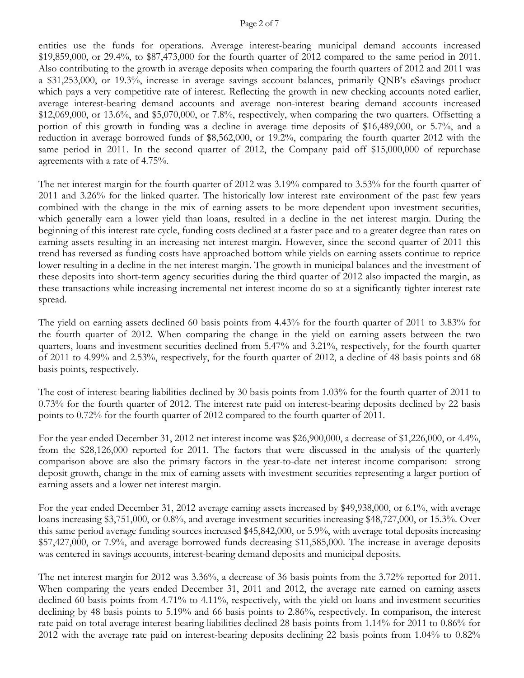#### Page 2 of 7

entities use the funds for operations. Average interest-bearing municipal demand accounts increased \$19,859,000, or 29.4%, to \$87,473,000 for the fourth quarter of 2012 compared to the same period in 2011. Also contributing to the growth in average deposits when comparing the fourth quarters of 2012 and 2011 was a \$31,253,000, or 19.3%, increase in average savings account balances, primarily QNB's eSavings product which pays a very competitive rate of interest. Reflecting the growth in new checking accounts noted earlier, average interest-bearing demand accounts and average non-interest bearing demand accounts increased  $$12,069,000$ , or  $13.6\%$ , and  $$5,070,000$ , or  $7.8\%$ , respectively, when comparing the two quarters. Offsetting a portion of this growth in funding was a decline in average time deposits of \$16,489,000, or 5.7%, and a reduction in average borrowed funds of \$8,562,000, or 19.2%, comparing the fourth quarter 2012 with the same period in 2011. In the second quarter of 2012, the Company paid off \$15,000,000 of repurchase agreements with a rate of 4.75%.

The net interest margin for the fourth quarter of 2012 was 3.19% compared to 3.53% for the fourth quarter of 2011 and 3.26% for the linked quarter. The historically low interest rate environment of the past few years combined with the change in the mix of earning assets to be more dependent upon investment securities, which generally earn a lower yield than loans, resulted in a decline in the net interest margin. During the beginning of this interest rate cycle, funding costs declined at a faster pace and to a greater degree than rates on earning assets resulting in an increasing net interest margin. However, since the second quarter of 2011 this trend has reversed as funding costs have approached bottom while yields on earning assets continue to reprice lower resulting in a decline in the net interest margin. The growth in municipal balances and the investment of these deposits into short-term agency securities during the third quarter of 2012 also impacted the margin, as these transactions while increasing incremental net interest income do so at a significantly tighter interest rate spread.

The yield on earning assets declined 60 basis points from 4.43% for the fourth quarter of 2011 to 3.83% for the fourth quarter of 2012. When comparing the change in the yield on earning assets between the two quarters, loans and investment securities declined from 5.47% and 3.21%, respectively, for the fourth quarter of 2011 to 4.99% and 2.53%, respectively, for the fourth quarter of 2012, a decline of 48 basis points and 68 basis points, respectively.

The cost of interest-bearing liabilities declined by 30 basis points from 1.03% for the fourth quarter of 2011 to 0.73% for the fourth quarter of 2012. The interest rate paid on interest-bearing deposits declined by 22 basis points to 0.72% for the fourth quarter of 2012 compared to the fourth quarter of 2011.

For the year ended December 31, 2012 net interest income was \$26,900,000, a decrease of \$1,226,000, or 4.4%, from the \$28,126,000 reported for 2011. The factors that were discussed in the analysis of the quarterly comparison above are also the primary factors in the year-to-date net interest income comparison: strong deposit growth, change in the mix of earning assets with investment securities representing a larger portion of earning assets and a lower net interest margin.

For the year ended December 31, 2012 average earning assets increased by \$49,938,000, or 6.1%, with average loans increasing \$3,751,000, or 0.8%, and average investment securities increasing \$48,727,000, or 15.3%. Over this same period average funding sources increased \$45,842,000, or 5.9%, with average total deposits increasing \$57,427,000, or 7.9%, and average borrowed funds decreasing \$11,585,000. The increase in average deposits was centered in savings accounts, interest-bearing demand deposits and municipal deposits.

The net interest margin for 2012 was 3.36%, a decrease of 36 basis points from the 3.72% reported for 2011. When comparing the years ended December 31, 2011 and 2012, the average rate earned on earning assets declined 60 basis points from 4.71% to 4.11%, respectively, with the yield on loans and investment securities declining by 48 basis points to 5.19% and 66 basis points to 2.86%, respectively. In comparison, the interest rate paid on total average interest-bearing liabilities declined 28 basis points from 1.14% for 2011 to 0.86% for 2012 with the average rate paid on interest-bearing deposits declining 22 basis points from 1.04% to 0.82%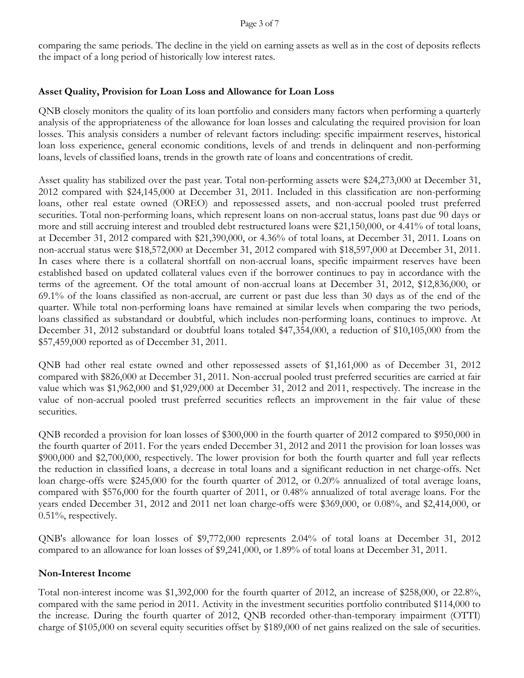comparing the same periods. The decline in the yield on earning assets as well as in the cost of deposits reflects the impact of a long period of historically low interest rates.

# **Asset Quality, Provision for Loan Loss and Allowance for Loan Loss**

QNB closely monitors the quality of its loan portfolio and considers many factors when performing a quarterly analysis of the appropriateness of the allowance for loan losses and calculating the required provision for loan losses. This analysis considers a number of relevant factors including: specific impairment reserves, historical loan loss experience, general economic conditions, levels of and trends in delinquent and non-performing loans, levels of classified loans, trends in the growth rate of loans and concentrations of credit.

Asset quality has stabilized over the past year. Total non-performing assets were \$24,273,000 at December 31, 2012 compared with \$24,145,000 at December 31, 2011. Included in this classification are non-performing loans, other real estate owned (OREO) and repossessed assets, and non-accrual pooled trust preferred securities. Total non-performing loans, which represent loans on non-accrual status, loans past due 90 days or more and still accruing interest and troubled debt restructured loans were \$21,150,000, or 4.41% of total loans, at December 31, 2012 compared with \$21,390,000, or 4.36% of total loans, at December 31, 2011. Loans on non-accrual status were \$18,572,000 at December 31, 2012 compared with \$18,597,000 at December 31, 2011. In cases where there is a collateral shortfall on non-accrual loans, specific impairment reserves have been established based on updated collateral values even if the borrower continues to pay in accordance with the terms of the agreement. Of the total amount of non-accrual loans at December 31, 2012, \$12,836,000, or 69.1% of the loans classified as non-accrual, are current or past due less than 30 days as of the end of the quarter. While total non-performing loans have remained at similar levels when comparing the two periods, loans classified as substandard or doubtful, which includes non-performing loans, continues to improve. At December 31, 2012 substandard or doubtful loans totaled \$47,354,000, a reduction of \$10,105,000 from the \$57,459,000 reported as of December 31, 2011.

QNB had other real estate owned and other repossessed assets of \$1,161,000 as of December 31, 2012 compared with \$826,000 at December 31, 2011. Non-accrual pooled trust preferred securities are carried at fair value which was \$1,962,000 and \$1,929,000 at December 31, 2012 and 2011, respectively. The increase in the value of non-accrual pooled trust preferred securities reflects an improvement in the fair value of these securities.

QNB recorded a provision for loan losses of \$300,000 in the fourth quarter of 2012 compared to \$950,000 in the fourth quarter of 2011. For the years ended December 31, 2012 and 2011 the provision for loan losses was \$900,000 and \$2,700,000, respectively. The lower provision for both the fourth quarter and full year reflects the reduction in classified loans, a decrease in total loans and a significant reduction in net charge-offs. Net loan charge-offs were \$245,000 for the fourth quarter of 2012, or 0.20% annualized of total average loans, compared with \$576,000 for the fourth quarter of 2011, or 0.48% annualized of total average loans. For the years ended December 31, 2012 and 2011 net loan charge-offs were \$369,000, or 0.08%, and \$2,414,000, or 0.51%, respectively.

QNB's allowance for loan losses of \$9,772,000 represents 2.04% of total loans at December 31, 2012 compared to an allowance for loan losses of \$9,241,000, or 1.89% of total loans at December 31, 2011.

# **Non-Interest Income**

Total non-interest income was \$1,392,000 for the fourth quarter of 2012, an increase of \$258,000, or 22.8%, compared with the same period in 2011. Activity in the investment securities portfolio contributed \$114,000 to the increase. During the fourth quarter of 2012, QNB recorded other-than-temporary impairment (OTTI) charge of \$105,000 on several equity securities offset by \$189,000 of net gains realized on the sale of securities.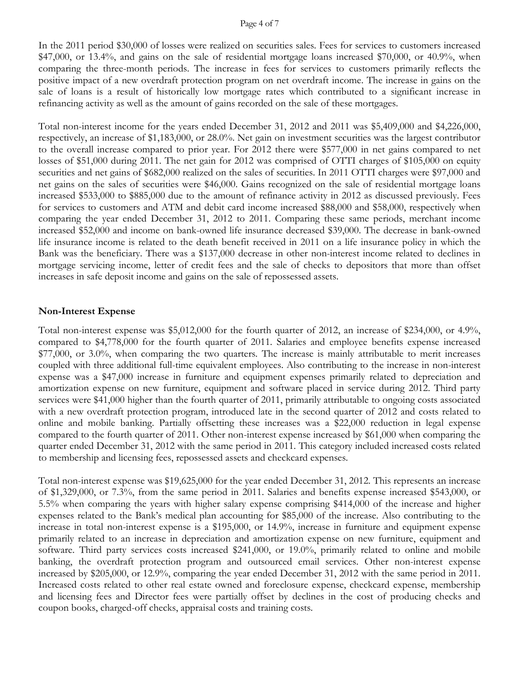#### Page 4 of 7

In the 2011 period \$30,000 of losses were realized on securities sales. Fees for services to customers increased \$47,000, or 13.4%, and gains on the sale of residential mortgage loans increased \$70,000, or 40.9%, when comparing the three-month periods. The increase in fees for services to customers primarily reflects the positive impact of a new overdraft protection program on net overdraft income. The increase in gains on the sale of loans is a result of historically low mortgage rates which contributed to a significant increase in refinancing activity as well as the amount of gains recorded on the sale of these mortgages.

Total non-interest income for the years ended December 31, 2012 and 2011 was \$5,409,000 and \$4,226,000, respectively, an increase of \$1,183,000, or 28.0%. Net gain on investment securities was the largest contributor to the overall increase compared to prior year. For 2012 there were \$577,000 in net gains compared to net losses of \$51,000 during 2011. The net gain for 2012 was comprised of OTTI charges of \$105,000 on equity securities and net gains of \$682,000 realized on the sales of securities. In 2011 OTTI charges were \$97,000 and net gains on the sales of securities were \$46,000. Gains recognized on the sale of residential mortgage loans increased \$533,000 to \$885,000 due to the amount of refinance activity in 2012 as discussed previously. Fees for services to customers and ATM and debit card income increased \$88,000 and \$58,000, respectively when comparing the year ended December 31, 2012 to 2011. Comparing these same periods, merchant income increased \$52,000 and income on bank-owned life insurance decreased \$39,000. The decrease in bank-owned life insurance income is related to the death benefit received in 2011 on a life insurance policy in which the Bank was the beneficiary. There was a \$137,000 decrease in other non-interest income related to declines in mortgage servicing income, letter of credit fees and the sale of checks to depositors that more than offset increases in safe deposit income and gains on the sale of repossessed assets.

#### **Non-Interest Expense**

Total non-interest expense was \$5,012,000 for the fourth quarter of 2012, an increase of \$234,000, or 4.9%, compared to \$4,778,000 for the fourth quarter of 2011. Salaries and employee benefits expense increased \$77,000, or 3.0%, when comparing the two quarters. The increase is mainly attributable to merit increases coupled with three additional full-time equivalent employees. Also contributing to the increase in non-interest expense was a \$47,000 increase in furniture and equipment expenses primarily related to depreciation and amortization expense on new furniture, equipment and software placed in service during 2012. Third party services were \$41,000 higher than the fourth quarter of 2011, primarily attributable to ongoing costs associated with a new overdraft protection program, introduced late in the second quarter of 2012 and costs related to online and mobile banking. Partially offsetting these increases was a \$22,000 reduction in legal expense compared to the fourth quarter of 2011. Other non-interest expense increased by \$61,000 when comparing the quarter ended December 31, 2012 with the same period in 2011. This category included increased costs related to membership and licensing fees, repossessed assets and checkcard expenses.

Total non-interest expense was \$19,625,000 for the year ended December 31, 2012. This represents an increase of \$1,329,000, or 7.3%, from the same period in 2011. Salaries and benefits expense increased \$543,000, or 5.5% when comparing the years with higher salary expense comprising \$414,000 of the increase and higher expenses related to the Bank's medical plan accounting for \$85,000 of the increase. Also contributing to the increase in total non-interest expense is a \$195,000, or 14.9%, increase in furniture and equipment expense primarily related to an increase in depreciation and amortization expense on new furniture, equipment and software. Third party services costs increased \$241,000, or 19.0%, primarily related to online and mobile banking, the overdraft protection program and outsourced email services. Other non-interest expense increased by \$205,000, or 12.9%, comparing the year ended December 31, 2012 with the same period in 2011. Increased costs related to other real estate owned and foreclosure expense, checkcard expense, membership and licensing fees and Director fees were partially offset by declines in the cost of producing checks and coupon books, charged-off checks, appraisal costs and training costs.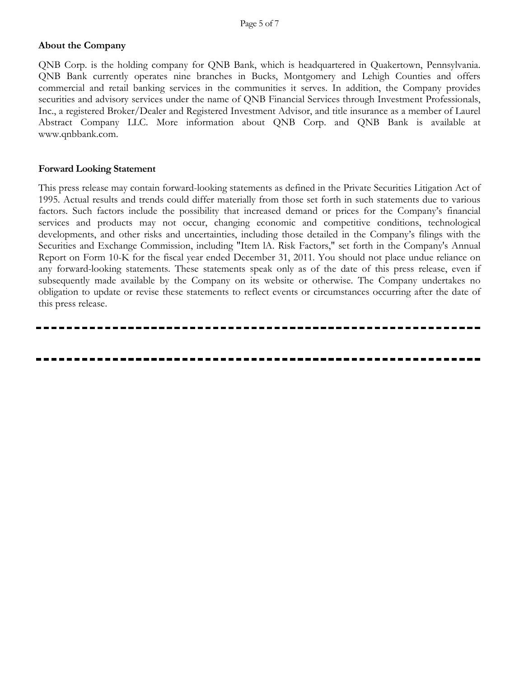# **About the Company**

QNB Corp. is the holding company for QNB Bank, which is headquartered in Quakertown, Pennsylvania. QNB Bank currently operates nine branches in Bucks, Montgomery and Lehigh Counties and offers commercial and retail banking services in the communities it serves. In addition, the Company provides securities and advisory services under the name of QNB Financial Services through Investment Professionals, Inc., a registered Broker/Dealer and Registered Investment Advisor, and title insurance as a member of Laurel Abstract Company LLC. More information about QNB Corp. and QNB Bank is available at www.qnbbank.com.

### **Forward Looking Statement**

This press release may contain forward-looking statements as defined in the Private Securities Litigation Act of 1995. Actual results and trends could differ materially from those set forth in such statements due to various factors. Such factors include the possibility that increased demand or prices for the Company's financial services and products may not occur, changing economic and competitive conditions, technological developments, and other risks and uncertainties, including those detailed in the Company's filings with the Securities and Exchange Commission, including "Item lA. Risk Factors," set forth in the Company's Annual Report on Form 10-K for the fiscal year ended December 31, 2011. You should not place undue reliance on any forward-looking statements. These statements speak only as of the date of this press release, even if subsequently made available by the Company on its website or otherwise. The Company undertakes no obligation to update or revise these statements to reflect events or circumstances occurring after the date of this press release.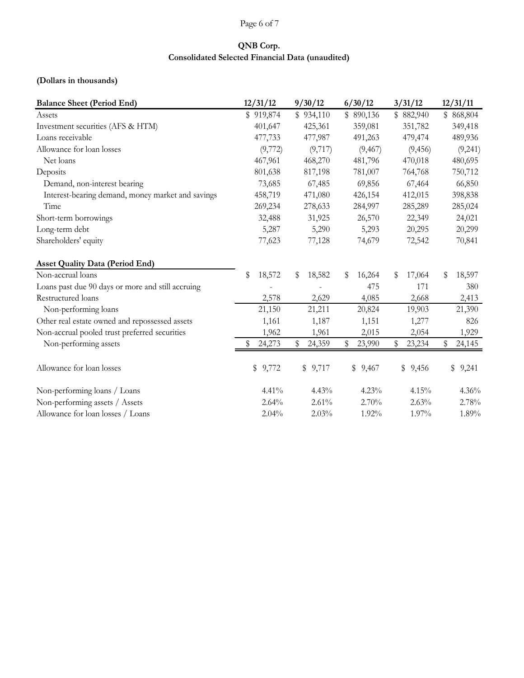## Page 6 of 7

# **QNB Corp. Consolidated Selected Financial Data (unaudited)**

## **(Dollars in thousands)**

| <b>Balance Sheet (Period End)</b>                 | 12/31/12     | 9/30/12      | 6/30/12      | 3/31/12      | 12/31/11     |
|---------------------------------------------------|--------------|--------------|--------------|--------------|--------------|
| Assets                                            | \$919,874    | \$934,110    | \$890,136    | \$882,940    | \$868,804    |
| Investment securities (AFS & HTM)                 | 401,647      | 425,361      | 359,081      | 351,782      | 349,418      |
| Loans receivable                                  | 477,733      | 477,987      | 491,263      | 479,474      | 489,936      |
| Allowance for loan losses                         | (9,772)      | (9,717)      | (9, 467)     | (9, 456)     | (9,241)      |
| Net loans                                         | 467,961      | 468,270      | 481,796      | 470,018      | 480,695      |
| Deposits                                          | 801,638      | 817,198      | 781,007      | 764,768      | 750,712      |
| Demand, non-interest bearing                      | 73,685       | 67,485       | 69,856       | 67,464       | 66,850       |
| Interest-bearing demand, money market and savings | 458,719      | 471,080      | 426,154      | 412,015      | 398,838      |
| Time                                              | 269,234      | 278,633      | 284,997      | 285,289      | 285,024      |
| Short-term borrowings                             | 32,488       | 31,925       | 26,570       | 22,349       | 24,021       |
| Long-term debt                                    | 5,287        | 5,290        | 5,293        | 20,295       | 20,299       |
| Shareholders' equity                              | 77,623       | 77,128       | 74,679       | 72,542       | 70,841       |
| <b>Asset Quality Data (Period End)</b>            |              |              |              |              |              |
| Non-accrual loans                                 | \$<br>18,572 | 18,582<br>\$ | 16,264<br>S  | 17,064<br>\$ | \$<br>18,597 |
| Loans past due 90 days or more and still accruing |              |              | 475          | 171          | 380          |
| Restructured loans                                | 2,578        | 2,629        | 4,085        | 2,668        | 2,413        |
| Non-performing loans                              | 21,150       | 21,211       | 20,824       | 19,903       | 21,390       |
| Other real estate owned and repossessed assets    | 1,161        | 1,187        | 1,151        | 1,277        | 826          |
| Non-accrual pooled trust preferred securities     | 1,962        | 1,961        | 2,015        | 2,054        | 1,929        |
| Non-performing assets                             | 24,273       | \$<br>24,359 | \$<br>23,990 | 23,234<br>S  | \$<br>24,145 |
| Allowance for loan losses                         | \$9,772      | \$9,717      | \$9,467      | \$9,456      | \$9,241      |
| Non-performing loans / Loans                      | 4.41%        | 4.43%        | 4.23%        | 4.15%        | 4.36%        |
| Non-performing assets / Assets                    | 2.64%        | 2.61%        | 2.70%        | 2.63%        | 2.78%        |
| Allowance for loan losses / Loans                 | 2.04%        | 2.03%        | 1.92%        | 1.97%        | 1.89%        |